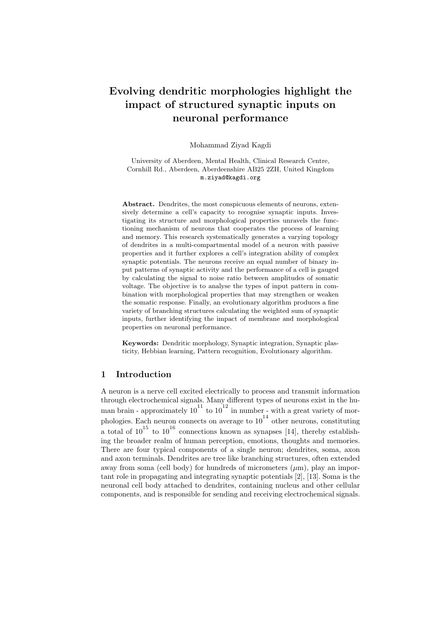# Evolving dendritic morphologies highlight the impact of structured synaptic inputs on neuronal performance

Mohammad Ziyad Kagdi

University of Aberdeen, Mental Health, Clinical Research Centre, Cornhill Rd., Aberdeen, Aberdeenshire AB25 2ZH, United Kingdom m.ziyad@kagdi.org

Abstract. Dendrites, the most conspicuous elements of neurons, extensively determine a cell's capacity to recognise synaptic inputs. Investigating its structure and morphological properties unravels the functioning mechanism of neurons that cooperates the process of learning and memory. This research systematically generates a varying topology of dendrites in a multi-compartmental model of a neuron with passive properties and it further explores a cell's integration ability of complex synaptic potentials. The neurons receive an equal number of binary input patterns of synaptic activity and the performance of a cell is gauged by calculating the signal to noise ratio between amplitudes of somatic voltage. The objective is to analyse the types of input pattern in combination with morphological properties that may strengthen or weaken the somatic response. Finally, an evolutionary algorithm produces a fine variety of branching structures calculating the weighted sum of synaptic inputs, further identifying the impact of membrane and morphological properties on neuronal performance.

Keywords: Dendritic morphology, Synaptic integration, Synaptic plasticity, Hebbian learning, Pattern recognition, Evolutionary algorithm.

## 1 Introduction

A neuron is a nerve cell excited electrically to process and transmit information through electrochemical signals. Many different types of neurons exist in the human brain - approximately  $10^{11}$  to  $10^{12}$  in number - with a great variety of morphologies. Each neuron connects on average to  $10^{14}$  other neurons, constituting a total of  $10^{15}$  to  $10^{16}$  connections known as synapses [14], thereby establishing the broader realm of human perception, emotions, thoughts and memories. There are four typical components of a single neuron; dendrites, soma, axon and axon terminals. Dendrites are tree like branching structures, often extended away from soma (cell body) for hundreds of micrometers  $(\mu m)$ , play an important role in propagating and integrating synaptic potentials [2], [13]. Soma is the neuronal cell body attached to dendrites, containing nucleus and other cellular components, and is responsible for sending and receiving electrochemical signals.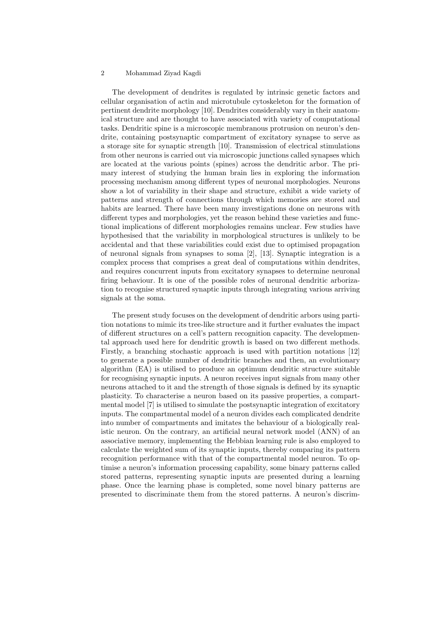The development of dendrites is regulated by intrinsic genetic factors and cellular organisation of actin and microtubule cytoskeleton for the formation of pertinent dendrite morphology [10]. Dendrites considerably vary in their anatomical structure and are thought to have associated with variety of computational tasks. Dendritic spine is a microscopic membranous protrusion on neuron's dendrite, containing postsynaptic compartment of excitatory synapse to serve as a storage site for synaptic strength [10]. Transmission of electrical stimulations from other neurons is carried out via microscopic junctions called synapses which are located at the various points (spines) across the dendritic arbor. The primary interest of studying the human brain lies in exploring the information processing mechanism among different types of neuronal morphologies. Neurons show a lot of variability in their shape and structure, exhibit a wide variety of patterns and strength of connections through which memories are stored and habits are learned. There have been many investigations done on neurons with different types and morphologies, yet the reason behind these varieties and functional implications of different morphologies remains unclear. Few studies have hypothesised that the variability in morphological structures is unlikely to be accidental and that these variabilities could exist due to optimised propagation of neuronal signals from synapses to soma [2], [13]. Synaptic integration is a complex process that comprises a great deal of computations within dendrites, and requires concurrent inputs from excitatory synapses to determine neuronal firing behaviour. It is one of the possible roles of neuronal dendritic arborization to recognise structured synaptic inputs through integrating various arriving signals at the soma.

The present study focuses on the development of dendritic arbors using partition notations to mimic its tree-like structure and it further evaluates the impact of different structures on a cell's pattern recognition capacity. The developmental approach used here for dendritic growth is based on two different methods. Firstly, a branching stochastic approach is used with partition notations [12] to generate a possible number of dendritic branches and then, an evolutionary algorithm (EA) is utilised to produce an optimum dendritic structure suitable for recognising synaptic inputs. A neuron receives input signals from many other neurons attached to it and the strength of those signals is defined by its synaptic plasticity. To characterise a neuron based on its passive properties, a compartmental model [7] is utilised to simulate the postsynaptic integration of excitatory inputs. The compartmental model of a neuron divides each complicated dendrite into number of compartments and imitates the behaviour of a biologically realistic neuron. On the contrary, an artificial neural network model (ANN) of an associative memory, implementing the Hebbian learning rule is also employed to calculate the weighted sum of its synaptic inputs, thereby comparing its pattern recognition performance with that of the compartmental model neuron. To optimise a neuron's information processing capability, some binary patterns called stored patterns, representing synaptic inputs are presented during a learning phase. Once the learning phase is completed, some novel binary patterns are presented to discriminate them from the stored patterns. A neuron's discrim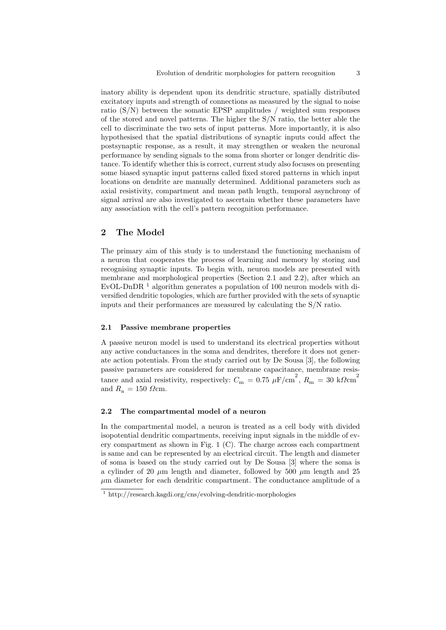inatory ability is dependent upon its dendritic structure, spatially distributed excitatory inputs and strength of connections as measured by the signal to noise ratio (S/N) between the somatic EPSP amplitudes / weighted sum responses of the stored and novel patterns. The higher the S/N ratio, the better able the cell to discriminate the two sets of input patterns. More importantly, it is also hypothesised that the spatial distributions of synaptic inputs could affect the postsynaptic response, as a result, it may strengthen or weaken the neuronal performance by sending signals to the soma from shorter or longer dendritic distance. To identify whether this is correct, current study also focuses on presenting some biased synaptic input patterns called fixed stored patterns in which input locations on dendrite are manually determined. Additional parameters such as axial resistivity, compartment and mean path length, temporal asynchrony of signal arrival are also investigated to ascertain whether these parameters have any association with the cell's pattern recognition performance.

## 2 The Model

The primary aim of this study is to understand the functioning mechanism of a neuron that cooperates the process of learning and memory by storing and recognising synaptic inputs. To begin with, neuron models are presented with membrane and morphological properties (Section 2.1 and 2.2), after which an EvOL-DnDR<sup>1</sup> algorithm generates a population of 100 neuron models with diversified dendritic topologies, which are further provided with the sets of synaptic inputs and their performances are measured by calculating the S/N ratio.

#### 2.1 Passive membrane properties

A passive neuron model is used to understand its electrical properties without any active conductances in the soma and dendrites, therefore it does not generate action potentials. From the study carried out by De Sousa [3], the following passive parameters are considered for membrane capacitance, membrane resistance and axial resistivity, respectively:  $C_{\text{m}} = 0.75 \mu \text{F/cm}^2$ ,  $R_{\text{m}} = 30 \text{ k}\Omega \text{cm}^2$ and  $R_{\rm a} = 150 \Omega$ cm.

### 2.2 The compartmental model of a neuron

In the compartmental model, a neuron is treated as a cell body with divided isopotential dendritic compartments, receiving input signals in the middle of every compartment as shown in Fig. 1 (C). The charge across each compartment is same and can be represented by an electrical circuit. The length and diameter of soma is based on the study carried out by De Sousa [3] where the soma is a cylinder of 20  $\mu$ m length and diameter, followed by 500  $\mu$ m length and 25  $\mu$ m diameter for each dendritic compartment. The conductance amplitude of a

<sup>1</sup> http://research.kagdi.org/cns/evolving-dendritic-morphologies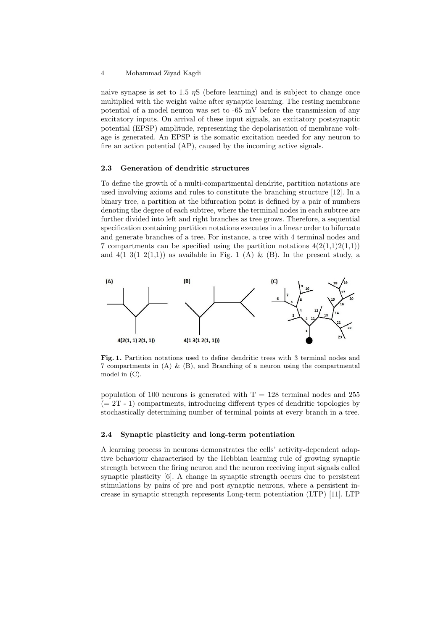naive synapse is set to 1.5  $nS$  (before learning) and is subject to change once multiplied with the weight value after synaptic learning. The resting membrane potential of a model neuron was set to -65 mV before the transmission of any excitatory inputs. On arrival of these input signals, an excitatory postsynaptic potential (EPSP) amplitude, representing the depolarisation of membrane voltage is generated. An EPSP is the somatic excitation needed for any neuron to fire an action potential (AP), caused by the incoming active signals.

## 2.3 Generation of dendritic structures

To define the growth of a multi-compartmental dendrite, partition notations are used involving axioms and rules to constitute the branching structure [12]. In a binary tree, a partition at the bifurcation point is defined by a pair of numbers denoting the degree of each subtree, where the terminal nodes in each subtree are further divided into left and right branches as tree grows. Therefore, a sequential specification containing partition notations executes in a linear order to bifurcate and generate branches of a tree. For instance, a tree with 4 terminal nodes and 7 compartments can be specified using the partition notations  $4(2(1,1)2(1,1))$ and  $4(1 \ 3(1 \ 2(1,1))$  as available in Fig. 1 (A) & (B). In the present study, a



Fig. 1. Partition notations used to define dendritic trees with 3 terminal nodes and 7 compartments in (A) & (B), and Branching of a neuron using the compartmental model in (C).

population of 100 neurons is generated with  $T = 128$  terminal nodes and 255  $(= 2T - 1)$  compartments, introducing different types of dendritic topologies by stochastically determining number of terminal points at every branch in a tree.

## 2.4 Synaptic plasticity and long-term potentiation

A learning process in neurons demonstrates the cells' activity-dependent adaptive behaviour characterised by the Hebbian learning rule of growing synaptic strength between the firing neuron and the neuron receiving input signals called synaptic plasticity [6]. A change in synaptic strength occurs due to persistent stimulations by pairs of pre and post synaptic neurons, where a persistent increase in synaptic strength represents Long-term potentiation (LTP) [11]. LTP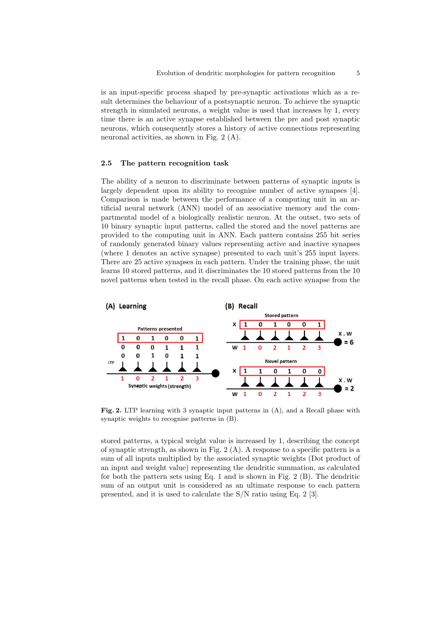is an input-specific process shaped by pre-synaptic activations which as a result determines the behaviour of a postsynaptic neuron. To achieve the synaptic strength in simulated neurons, a weight value is used that increases by 1, every time there is an active synapse established between the pre and post synaptic neurons, which consequently stores a history of active connections representing neuronal activities, as shown in Fig. 2 (A).

#### 2.5 The pattern recognition task

The ability of a neuron to discriminate between patterns of synaptic inputs is largely dependent upon its ability to recognise number of active synapses [4]. Comparison is made between the performance of a computing unit in an artificial neural network (ANN) model of an associative memory and the compartmental model of a biologically realistic neuron. At the outset, two sets of 10 binary synaptic input patterns, called the stored and the novel patterns are provided to the computing unit in ANN. Each pattern contains 255 bit series of randomly generated binary values representing active and inactive synapses (where 1 denotes an active synapse) presented to each unit's 255 input layers. There are 25 active synapses in each pattern. Under the training phase, the unit learns 10 stored patterns, and it discriminates the 10 stored patterns from the 10 novel patterns when tested in the recall phase. On each active synapse from the



Fig. 2. LTP learning with 3 synaptic input patterns in (A), and a Recall phase with synaptic weights to recognise patterns in (B).

stored patterns, a typical weight value is increased by 1, describing the concept of synaptic strength, as shown in Fig. 2 (A). A response to a specific pattern is a sum of all inputs multiplied by the associated synaptic weights (Dot product of an input and weight value) representing the dendritic summation, as calculated for both the pattern sets using Eq. 1 and is shown in Fig. 2 (B). The dendritic sum of an output unit is considered as an ultimate response to each pattern presented, and it is used to calculate the S/N ratio using Eq. 2 [3].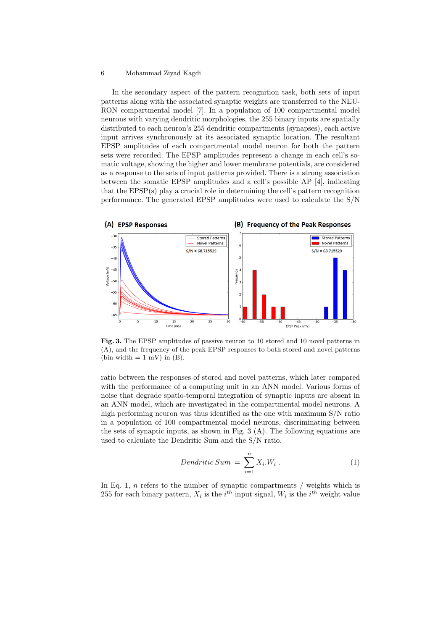In the secondary aspect of the pattern recognition task, both sets of input patterns along with the associated synaptic weights are transferred to the NEU-RON compartmental model [7]. In a population of 100 compartmental model neurons with varying dendritic morphologies, the 255 binary inputs are spatially distributed to each neuron's 255 dendritic compartments (synapses), each active input arrives synchronously at its associated synaptic location. The resultant EPSP amplitudes of each compartmental model neuron for both the pattern sets were recorded. The EPSP amplitudes represent a change in each cell's somatic voltage, showing the higher and lower membrane potentials, are considered as a response to the sets of input patterns provided. There is a strong association between the somatic EPSP amplitudes and a cell's possible AP [4], indicating that the EPSP(s) play a crucial role in determining the cell's pattern recognition performance. The generated EPSP amplitudes were used to calculate the S/N



Fig. 3. The EPSP amplitudes of passive neuron to 10 stored and 10 novel patterns in (A), and the frequency of the peak EPSP responses to both stored and novel patterns (bin width  $= 1$  mV) in (B).

ratio between the responses of stored and novel patterns, which later compared with the performance of a computing unit in an ANN model. Various forms of noise that degrade spatio-temporal integration of synaptic inputs are absent in an ANN model, which are investigated in the compartmental model neurons. A high performing neuron was thus identified as the one with maximum S/N ratio in a population of 100 compartmental model neurons, discriminating between the sets of synaptic inputs, as shown in Fig. 3 (A). The following equations are used to calculate the Dendritic Sum and the S/N ratio.

$$
Dendritic Sum = \sum_{i=1}^{n} X_i.W_i.
$$
 (1)

In Eq. 1,  $n$  refers to the number of synaptic compartments  $\ell$  weights which is 255 for each binary pattern,  $X_i$  is the  $i^{th}$  input signal,  $W_i$  is the  $i^{th}$  weight value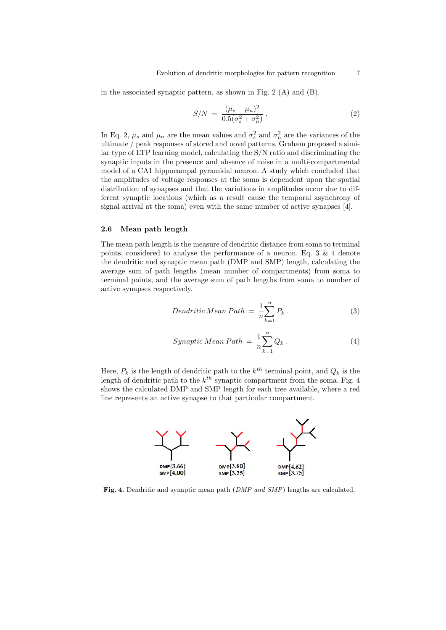in the associated synaptic pattern, as shown in Fig. 2 (A) and (B).

$$
S/N = \frac{(\mu_s - \mu_n)^2}{0.5(\sigma_s^2 + \sigma_n^2)}.
$$
 (2)

In Eq. 2,  $\mu_s$  and  $\mu_n$  are the mean values and  $\sigma_s^2$  and  $\sigma_n^2$  are the variances of the ultimate / peak responses of stored and novel patterns. Graham proposed a similar type of LTP learning model, calculating the S/N ratio and discriminating the synaptic inputs in the presence and absence of noise in a multi-compartmental model of a CA1 hippocampal pyramidal neuron. A study which concluded that the amplitudes of voltage responses at the soma is dependent upon the spatial distribution of synapses and that the variations in amplitudes occur due to different synaptic locations (which as a result cause the temporal asynchrony of signal arrival at the soma) even with the same number of active synapses [4].

#### 2.6 Mean path length

The mean path length is the measure of dendritic distance from soma to terminal points, considered to analyse the performance of a neuron. Eq. 3 & 4 denote the dendritic and synaptic mean path (DMP and SMP) length, calculating the average sum of path lengths (mean number of compartments) from soma to terminal points, and the average sum of path lengths from soma to number of active synapses respectively.

$$
Dendritic Mean Path = \frac{1}{n} \sum_{k=1}^{n} P_k . \qquad (3)
$$

$$
Synaptic Mean Path = \frac{1}{n} \sum_{k=1}^{n} Q_k . \qquad (4)
$$

Here,  $P_k$  is the length of dendritic path to the  $k^{th}$  terminal point, and  $Q_k$  is the length of dendritic path to the  $k^{th}$  synaptic compartment from the soma. Fig. 4 shows the calculated DMP and SMP length for each tree available, where a red line represents an active synapse to that particular compartment.



Fig. 4. Dendritic and synaptic mean path (DMP and SMP) lengths are calculated.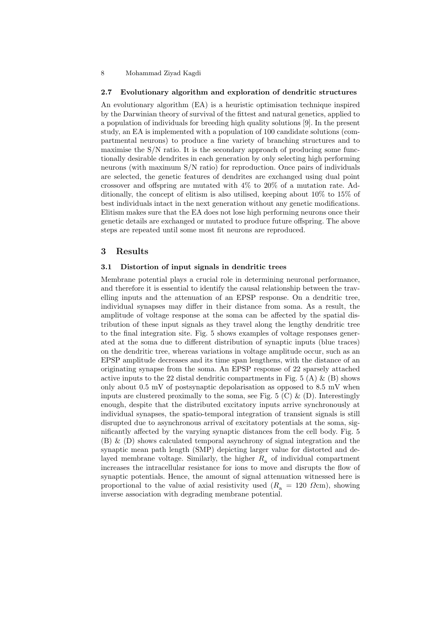#### 2.7 Evolutionary algorithm and exploration of dendritic structures

An evolutionary algorithm (EA) is a heuristic optimisation technique inspired by the Darwinian theory of survival of the fittest and natural genetics, applied to a population of individuals for breeding high quality solutions [9]. In the present study, an EA is implemented with a population of 100 candidate solutions (compartmental neurons) to produce a fine variety of branching structures and to maximise the  $S/N$  ratio. It is the secondary approach of producing some functionally desirable dendrites in each generation by only selecting high performing neurons (with maximum S/N ratio) for reproduction. Once pairs of individuals are selected, the genetic features of dendrites are exchanged using dual point crossover and offspring are mutated with 4% to 20% of a mutation rate. Additionally, the concept of elitism is also utilised, keeping about 10% to 15% of best individuals intact in the next generation without any genetic modifications. Elitism makes sure that the EA does not lose high performing neurons once their genetic details are exchanged or mutated to produce future offspring. The above steps are repeated until some most fit neurons are reproduced.

## 3 Results

#### 3.1 Distortion of input signals in dendritic trees

Membrane potential plays a crucial role in determining neuronal performance, and therefore it is essential to identify the causal relationship between the travelling inputs and the attenuation of an EPSP response. On a dendritic tree, individual synapses may differ in their distance from soma. As a result, the amplitude of voltage response at the soma can be affected by the spatial distribution of these input signals as they travel along the lengthy dendritic tree to the final integration site. Fig. 5 shows examples of voltage responses generated at the soma due to different distribution of synaptic inputs (blue traces) on the dendritic tree, whereas variations in voltage amplitude occur, such as an EPSP amplitude decreases and its time span lengthens, with the distance of an originating synapse from the soma. An EPSP response of 22 sparsely attached active inputs to the 22 distal dendritic compartments in Fig. 5 (A) & (B) shows only about 0.5 mV of postsynaptic depolarisation as opposed to 8.5 mV when inputs are clustered proximally to the soma, see Fig. 5  $(C)$  &  $(D)$ . Interestingly enough, despite that the distributed excitatory inputs arrive synchronously at individual synapses, the spatio-temporal integration of transient signals is still disrupted due to asynchronous arrival of excitatory potentials at the soma, significantly affected by the varying synaptic distances from the cell body. Fig. 5 (B) & (D) shows calculated temporal asynchrony of signal integration and the synaptic mean path length (SMP) depicting larger value for distorted and delayed membrane voltage. Similarly, the higher  $R_{\rm a}$  of individual compartment increases the intracellular resistance for ions to move and disrupts the flow of synaptic potentials. Hence, the amount of signal attenuation witnessed here is proportional to the value of axial resistivity used ( $R_a = 120 \Omega$ cm), showing inverse association with degrading membrane potential.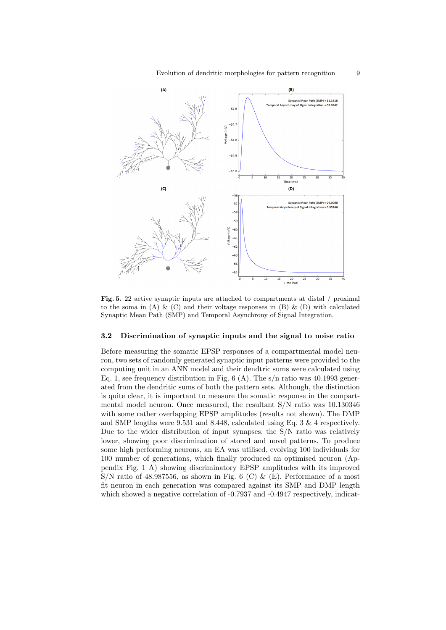

Fig. 5. 22 active synaptic inputs are attached to compartments at distal / proximal to the soma in (A)  $\&$  (C) and their voltage responses in (B)  $\&$  (D) with calculated Synaptic Mean Path (SMP) and Temporal Asynchrony of Signal Integration.

#### 3.2 Discrimination of synaptic inputs and the signal to noise ratio

Before measuring the somatic EPSP responses of a compartmental model neuron, two sets of randomly generated synaptic input patterns were provided to the computing unit in an ANN model and their dendtric sums were calculated using Eq. 1, see frequency distribution in Fig.  $6(A)$ . The s/n ratio was 40.1993 generated from the dendritic sums of both the pattern sets. Although, the distinction is quite clear, it is important to measure the somatic response in the compartmental model neuron. Once measured, the resultant S/N ratio was 10.130346 with some rather overlapping EPSP amplitudes (results not shown). The DMP and SMP lengths were 9.531 and 8.448, calculated using Eq. 3 & 4 respectively. Due to the wider distribution of input synapses, the S/N ratio was relatively lower, showing poor discrimination of stored and novel patterns. To produce some high performing neurons, an EA was utilised, evolving 100 individuals for 100 number of generations, which finally produced an optimised neuron (Appendix Fig. 1 A) showing discriminatory EPSP amplitudes with its improved  $S/N$  ratio of 48.987556, as shown in Fig. 6 (C) & (E). Performance of a most fit neuron in each generation was compared against its SMP and DMP length which showed a negative correlation of -0.7937 and -0.4947 respectively, indicat-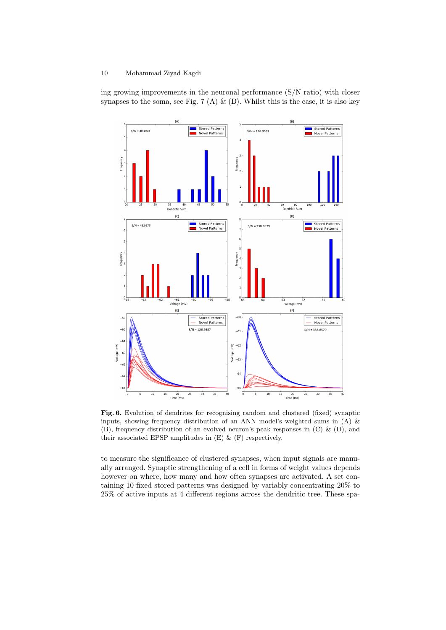ing growing improvements in the neuronal performance (S/N ratio) with closer synapses to the soma, see Fig. 7 (A)  $\&$  (B). Whilst this is the case, it is also key



Fig. 6. Evolution of dendrites for recognising random and clustered (fixed) synaptic inputs, showing frequency distribution of an ANN model's weighted sums in (A) & (B), frequency distribution of an evolved neuron's peak responses in (C) & (D), and their associated EPSP amplitudes in  $(E)$   $\&$   $(F)$  respectively.

to measure the significance of clustered synapses, when input signals are manually arranged. Synaptic strengthening of a cell in forms of weight values depends however on where, how many and how often synapses are activated. A set containing 10 fixed stored patterns was designed by variably concentrating 20% to 25% of active inputs at 4 different regions across the dendritic tree. These spa-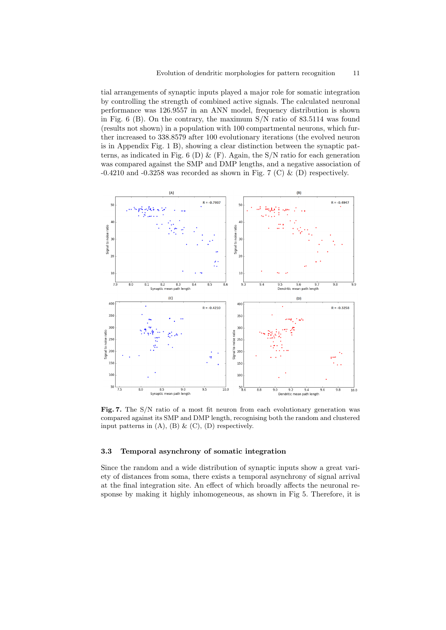tial arrangements of synaptic inputs played a major role for somatic integration by controlling the strength of combined active signals. The calculated neuronal performance was 126.9557 in an ANN model, frequency distribution is shown in Fig.  $6$  (B). On the contrary, the maximum  $S/N$  ratio of 83.5114 was found (results not shown) in a population with 100 compartmental neurons, which further increased to 338.8579 after 100 evolutionary iterations (the evolved neuron is in Appendix Fig. 1 B), showing a clear distinction between the synaptic patterns, as indicated in Fig. 6 (D)  $\&$  (F). Again, the S/N ratio for each generation was compared against the SMP and DMP lengths, and a negative association of -0.4210 and -0.3258 was recorded as shown in Fig. 7 (C)  $\&$  (D) respectively.



Fig. 7. The S/N ratio of a most fit neuron from each evolutionary generation was compared against its SMP and DMP length, recognising both the random and clustered input patterns in  $(A)$ ,  $(B)$   $\&$   $(C)$ ,  $(D)$  respectively.

#### 3.3 Temporal asynchrony of somatic integration

Since the random and a wide distribution of synaptic inputs show a great variety of distances from soma, there exists a temporal asynchrony of signal arrival at the final integration site. An effect of which broadly affects the neuronal response by making it highly inhomogeneous, as shown in Fig 5. Therefore, it is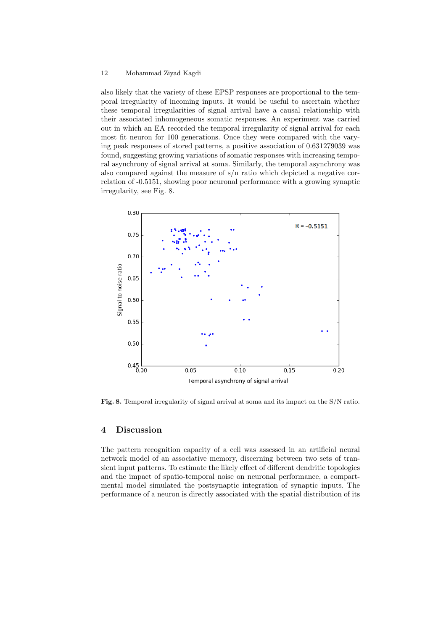also likely that the variety of these EPSP responses are proportional to the temporal irregularity of incoming inputs. It would be useful to ascertain whether these temporal irregularities of signal arrival have a causal relationship with their associated inhomogeneous somatic responses. An experiment was carried out in which an EA recorded the temporal irregularity of signal arrival for each most fit neuron for 100 generations. Once they were compared with the varying peak responses of stored patterns, a positive association of 0.631279039 was found, suggesting growing variations of somatic responses with increasing temporal asynchrony of signal arrival at soma. Similarly, the temporal asynchrony was also compared against the measure of s/n ratio which depicted a negative correlation of -0.5151, showing poor neuronal performance with a growing synaptic irregularity, see Fig. 8.



Fig. 8. Temporal irregularity of signal arrival at soma and its impact on the S/N ratio.

## 4 Discussion

The pattern recognition capacity of a cell was assessed in an artificial neural network model of an associative memory, discerning between two sets of transient input patterns. To estimate the likely effect of different dendritic topologies and the impact of spatio-temporal noise on neuronal performance, a compartmental model simulated the postsynaptic integration of synaptic inputs. The performance of a neuron is directly associated with the spatial distribution of its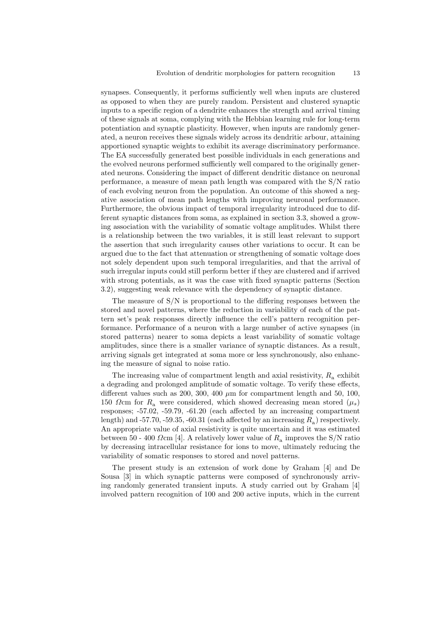synapses. Consequently, it performs sufficiently well when inputs are clustered as opposed to when they are purely random. Persistent and clustered synaptic inputs to a specific region of a dendrite enhances the strength and arrival timing of these signals at soma, complying with the Hebbian learning rule for long-term potentiation and synaptic plasticity. However, when inputs are randomly generated, a neuron receives these signals widely across its dendritic arbour, attaining apportioned synaptic weights to exhibit its average discriminatory performance. The EA successfully generated best possible individuals in each generations and the evolved neurons performed sufficiently well compared to the originally generated neurons. Considering the impact of different dendritic distance on neuronal performance, a measure of mean path length was compared with the S/N ratio of each evolving neuron from the population. An outcome of this showed a negative association of mean path lengths with improving neuronal performance. Furthermore, the obvious impact of temporal irregularity introduced due to different synaptic distances from soma, as explained in section 3.3, showed a growing association with the variability of somatic voltage amplitudes. Whilst there is a relationship between the two variables, it is still least relevant to support the assertion that such irregularity causes other variations to occur. It can be argued due to the fact that attenuation or strengthening of somatic voltage does not solely dependent upon such temporal irregularities, and that the arrival of such irregular inputs could still perform better if they are clustered and if arrived with strong potentials, as it was the case with fixed synaptic patterns (Section 3.2), suggesting weak relevance with the dependency of synaptic distance.

The measure of S/N is proportional to the differing responses between the stored and novel patterns, where the reduction in variability of each of the pattern set's peak responses directly influence the cell's pattern recognition performance. Performance of a neuron with a large number of active synapses (in stored patterns) nearer to soma depicts a least variability of somatic voltage amplitudes, since there is a smaller variance of synaptic distances. As a result, arriving signals get integrated at soma more or less synchronously, also enhancing the measure of signal to noise ratio.

The increasing value of compartment length and axial resistivity,  $R_a$  exhibit a degrading and prolonged amplitude of somatic voltage. To verify these effects, different values such as 200, 300, 400  $\mu$ m for compartment length and 50, 100, 150  $\Omega$ cm for  $R_a$  were considered, which showed decreasing mean stored  $(\mu_s)$ responses; -57.02, -59.79, -61.20 (each affected by an increasing compartment length) and -57.70, -59.35, -60.31 (each affected by an increasing  $R_a$ ) respectively. An appropriate value of axial resistivity is quite uncertain and it was estimated between 50 - 400  $\Omega$ cm [4]. A relatively lower value of  $R_a$  improves the S/N ratio by decreasing intracellular resistance for ions to move, ultimately reducing the variability of somatic responses to stored and novel patterns.

The present study is an extension of work done by Graham [4] and De Sousa [3] in which synaptic patterns were composed of synchronously arriving randomly generated transient inputs. A study carried out by Graham [4] involved pattern recognition of 100 and 200 active inputs, which in the current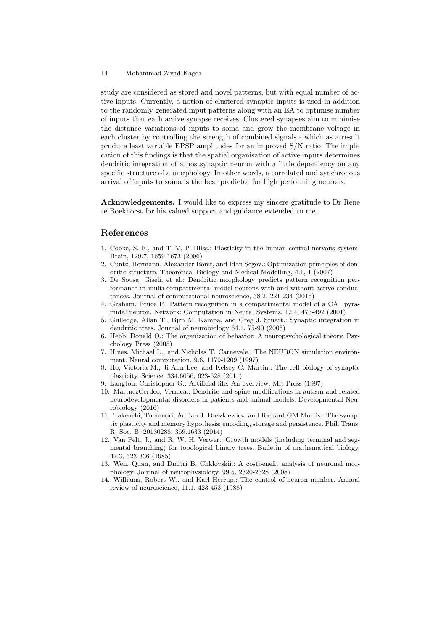study are considered as stored and novel patterns, but with equal number of active inputs. Currently, a notion of clustered synaptic inputs is used in addition to the randomly generated input patterns along with an EA to optimise number of inputs that each active synapse receives. Clustered synapses aim to minimise the distance variations of inputs to soma and grow the membrane voltage in each cluster by controlling the strength of combined signals - which as a result produce least variable EPSP amplitudes for an improved S/N ratio. The implication of this findings is that the spatial organisation of active inputs determines dendritic integration of a postsynaptic neuron with a little dependency on any specific structure of a morphology. In other words, a correlated and synchronous arrival of inputs to soma is the best predictor for high performing neurons.

Acknowledgements. I would like to express my sincere gratitude to Dr Rene te Boekhorst for his valued support and guidance extended to me.

## References

- 1. Cooke, S. F., and T. V. P. Bliss.: Plasticity in the human central nervous system. Brain, 129.7, 1659-1673 (2006)
- 2. Cuntz, Hermann, Alexander Borst, and Idan Segev.: Optimization principles of dendritic structure. Theoretical Biology and Medical Modelling, 4.1, 1 (2007)
- 3. De Sousa, Giseli, et al.: Dendritic morphology predicts pattern recognition performance in multi-compartmental model neurons with and without active conductances. Journal of computational neuroscience, 38.2, 221-234 (2015)
- 4. Graham, Bruce P.: Pattern recognition in a compartmental model of a CA1 pyramidal neuron. Network: Computation in Neural Systems, 12.4, 473-492 (2001)
- 5. Gulledge, Allan T., Bjrn M. Kampa, and Greg J. Stuart.: Synaptic integration in dendritic trees. Journal of neurobiology 64.1, 75-90 (2005)
- 6. Hebb, Donald O.: The organization of behavior: A neuropsychological theory. Psychology Press (2005)
- 7. Hines, Michael L., and Nicholas T. Carnevale.: The NEURON simulation environment. Neural computation, 9.6, 1179-1209 (1997)
- 8. Ho, Victoria M., Ji-Ann Lee, and Kelsey C. Martin.: The cell biology of synaptic plasticity. Science, 334.6056, 623-628 (2011)
- 9. Langton, Christopher G.: Artificial life: An overview. Mit Press (1997)
- 10. MartnezCerdeo, Vernica.: Dendrite and spine modifications in autism and related neurodevelopmental disorders in patients and animal models. Developmental Neurobiology (2016)
- 11. Takeuchi, Tomonori, Adrian J. Duszkiewicz, and Richard GM Morris.: The synaptic plasticity and memory hypothesis: encoding, storage and persistence. Phil. Trans. R. Soc. B, 20130288, 369.1633 (2014)
- 12. Van Pelt, J., and R. W. H. Verwer.: Growth models (including terminal and segmental branching) for topological binary trees. Bulletin of mathematical biology, 47.3, 323-336 (1985)
- 13. Wen, Quan, and Dmitri B. Chklovskii.: A costbenefit analysis of neuronal morphology. Journal of neurophysiology, 99.5, 2320-2328 (2008)
- 14. Williams, Robert W., and Karl Herrup.: The control of neuron number. Annual review of neuroscience, 11.1, 423-453 (1988)